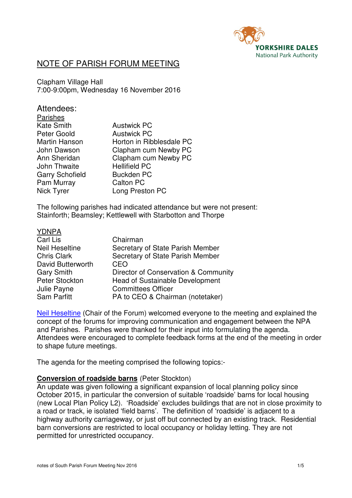

# NOTE OF PARISH FORUM MEETING

Clapham Village Hall 7:00-9:00pm, Wednesday 16 November 2016

| Attendees:             |                          |
|------------------------|--------------------------|
| <b>Parishes</b>        |                          |
| <b>Kate Smith</b>      | <b>Austwick PC</b>       |
| Peter Goold            | <b>Austwick PC</b>       |
| Martin Hanson          | Horton in Ribblesdale PC |
| John Dawson            | Clapham cum Newby PC     |
| Ann Sheridan           | Clapham cum Newby PC     |
| <b>John Thwaite</b>    | <b>Hellifield PC</b>     |
| <b>Garry Schofield</b> | <b>Buckden PC</b>        |
| Pam Murray             | <b>Calton PC</b>         |
| Nick Tyrer             | Long Preston PC          |
|                        |                          |

The following parishes had indicated attendance but were not present: Stainforth; Beamsley; Kettlewell with Starbotton and Thorpe

| <b>YDNPA</b>          |                                        |
|-----------------------|----------------------------------------|
| Carl Lis              | Chairman                               |
| <b>Neil Heseltine</b> | Secretary of State Parish Member       |
| <b>Chris Clark</b>    | Secretary of State Parish Member       |
| David Butterworth     | CEO                                    |
| <b>Gary Smith</b>     | Director of Conservation & Community   |
| Peter Stockton        | <b>Head of Sustainable Development</b> |
| Julie Payne           | <b>Committees Officer</b>              |
| <b>Sam Parfitt</b>    | PA to CEO & Chairman (notetaker)       |

Neil Heseltine (Chair of the Forum) welcomed everyone to the meeting and explained the concept of the forums for improving communication and engagement between the NPA and Parishes. Parishes were thanked for their input into formulating the agenda. Attendees were encouraged to complete feedback forms at the end of the meeting in order to shape future meetings.

The agenda for the meeting comprised the following topics:-

#### **Conversion of roadside barns** (Peter Stockton)

An update was given following a significant expansion of local planning policy since October 2015, in particular the conversion of suitable 'roadside' barns for local housing (new Local Plan Policy L2). 'Roadside' excludes buildings that are not in close proximity to a road or track, ie isolated 'field barns'. The definition of 'roadside' is adjacent to a highway authority carriageway, or just off but connected by an existing track. Residential barn conversions are restricted to local occupancy or holiday letting. They are not permitted for unrestricted occupancy.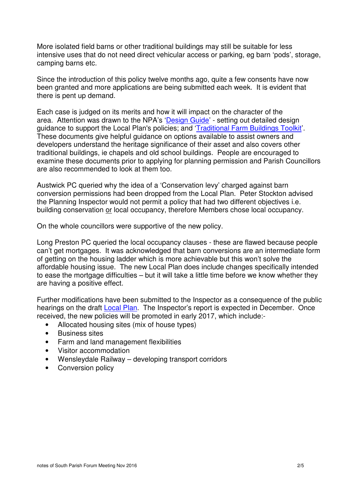More isolated field barns or other traditional buildings may still be suitable for less intensive uses that do not need direct vehicular access or parking, eg barn 'pods', storage, camping barns etc.

Since the introduction of this policy twelve months ago, quite a few consents have now been granted and more applications are being submitted each week. It is evident that there is pent up demand.

Each case is judged on its merits and how it will impact on the character of the area. Attention was drawn to the NPA's 'Design Guide' - setting out detailed design guidance to support the Local Plan's policies; and 'Traditional Farm Buildings Toolkit'. These documents give helpful guidance on options available to assist owners and developers understand the heritage significance of their asset and also covers other traditional buildings, ie chapels and old school buildings. People are encouraged to examine these documents prior to applying for planning permission and Parish Councillors are also recommended to look at them too.

Austwick PC queried why the idea of a 'Conservation levy' charged against barn conversion permissions had been dropped from the Local Plan. Peter Stockton advised the Planning Inspector would not permit a policy that had two different objectives i.e. building conservation or local occupancy, therefore Members chose local occupancy.

On the whole councillors were supportive of the new policy.

Long Preston PC queried the local occupancy clauses - these are flawed because people can't get mortgages. It was acknowledged that barn conversions are an intermediate form of getting on the housing ladder which is more achievable but this won't solve the affordable housing issue. The new Local Plan does include changes specifically intended to ease the mortgage difficulties – but it will take a little time before we know whether they are having a positive effect.

Further modifications have been submitted to the Inspector as a consequence of the public hearings on the draft Local Plan. The Inspector's report is expected in December. Once received, the new policies will be promoted in early 2017, which include:-

- Allocated housing sites (mix of house types)
- Business sites
- Farm and land management flexibilities
- Visitor accommodation
- Wensleydale Railway developing transport corridors
- Conversion policy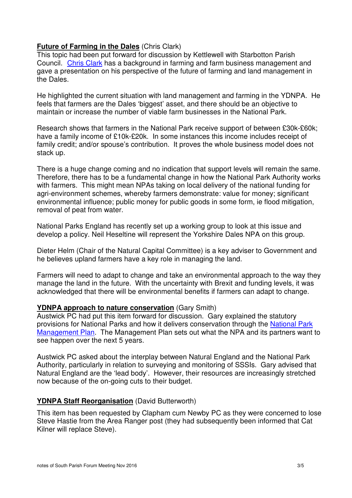# **Future of Farming in the Dales** (Chris Clark)

This topic had been put forward for discussion by Kettlewell with Starbotton Parish Council. Chris Clark has a background in farming and farm business management and gave a presentation on his perspective of the future of farming and land management in the Dales.

He highlighted the current situation with land management and farming in the YDNPA. He feels that farmers are the Dales 'biggest' asset, and there should be an objective to maintain or increase the number of viable farm businesses in the National Park.

Research shows that farmers in the National Park receive support of between £30k-£60k; have a family income of £10k-£20k. In some instances this income includes receipt of family credit; and/or spouse's contribution. It proves the whole business model does not stack up.

There is a huge change coming and no indication that support levels will remain the same. Therefore, there has to be a fundamental change in how the National Park Authority works with farmers. This might mean NPAs taking on local delivery of the national funding for agri-environment schemes, whereby farmers demonstrate: value for money; significant environmental influence; public money for public goods in some form, ie flood mitigation, removal of peat from water.

National Parks England has recently set up a working group to look at this issue and develop a policy. Neil Heseltine will represent the Yorkshire Dales NPA on this group.

Dieter Helm (Chair of the Natural Capital Committee) is a key adviser to Government and he believes upland farmers have a key role in managing the land.

Farmers will need to adapt to change and take an environmental approach to the way they manage the land in the future. With the uncertainty with Brexit and funding levels, it was acknowledged that there will be environmental benefits if farmers can adapt to change.

# **YDNPA approach to nature conservation** (Gary Smith)

Austwick PC had put this item forward for discussion. Gary explained the statutory provisions for National Parks and how it delivers conservation through the National Park Management Plan. The Management Plan sets out what the NPA and its partners want to see happen over the next 5 years.

Austwick PC asked about the interplay between Natural England and the National Park Authority, particularly in relation to surveying and monitoring of SSSIs. Gary advised that Natural England are the 'lead body'. However, their resources are increasingly stretched now because of the on-going cuts to their budget.

# **YDNPA Staff Reorganisation** (David Butterworth)

This item has been requested by Clapham cum Newby PC as they were concerned to lose Steve Hastie from the Area Ranger post (they had subsequently been informed that Cat Kilner will replace Steve).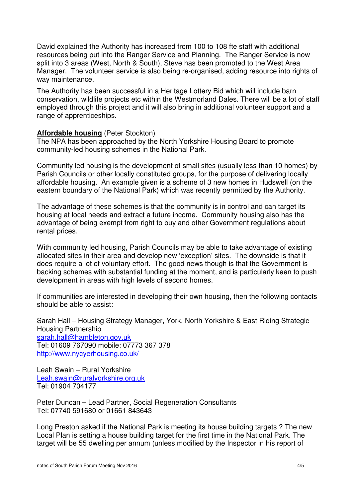David explained the Authority has increased from 100 to 108 fte staff with additional resources being put into the Ranger Service and Planning. The Ranger Service is now split into 3 areas (West, North & South), Steve has been promoted to the West Area Manager. The volunteer service is also being re-organised, adding resource into rights of way maintenance.

The Authority has been successful in a Heritage Lottery Bid which will include barn conservation, wildlife projects etc within the Westmorland Dales. There will be a lot of staff employed through this project and it will also bring in additional volunteer support and a range of apprenticeships.

#### **Affordable housing** (Peter Stockton)

The NPA has been approached by the North Yorkshire Housing Board to promote community-led housing schemes in the National Park.

Community led housing is the development of small sites (usually less than 10 homes) by Parish Councils or other locally constituted groups, for the purpose of delivering locally affordable housing. An example given is a scheme of 3 new homes in Hudswell (on the eastern boundary of the National Park) which was recently permitted by the Authority.

The advantage of these schemes is that the community is in control and can target its housing at local needs and extract a future income. Community housing also has the advantage of being exempt from right to buy and other Government regulations about rental prices.

With community led housing, Parish Councils may be able to take advantage of existing allocated sites in their area and develop new 'exception' sites. The downside is that it does require a lot of voluntary effort. The good news though is that the Government is backing schemes with substantial funding at the moment, and is particularly keen to push development in areas with high levels of second homes.

If communities are interested in developing their own housing, then the following contacts should be able to assist:

Sarah Hall – Housing Strategy Manager, York, North Yorkshire & East Riding Strategic Housing Partnership sarah.hall@hambleton.gov.uk Tel: 01609 767090 mobile: 07773 367 378 http://www.nycyerhousing.co.uk/

Leah Swain – Rural Yorkshire Leah.swain@ruralyorkshire.org.uk Tel: 01904 704177

Peter Duncan – Lead Partner, Social Regeneration Consultants Tel: 07740 591680 or 01661 843643

Long Preston asked if the National Park is meeting its house building targets ? The new Local Plan is setting a house building target for the first time in the National Park. The target will be 55 dwelling per annum (unless modified by the Inspector in his report of